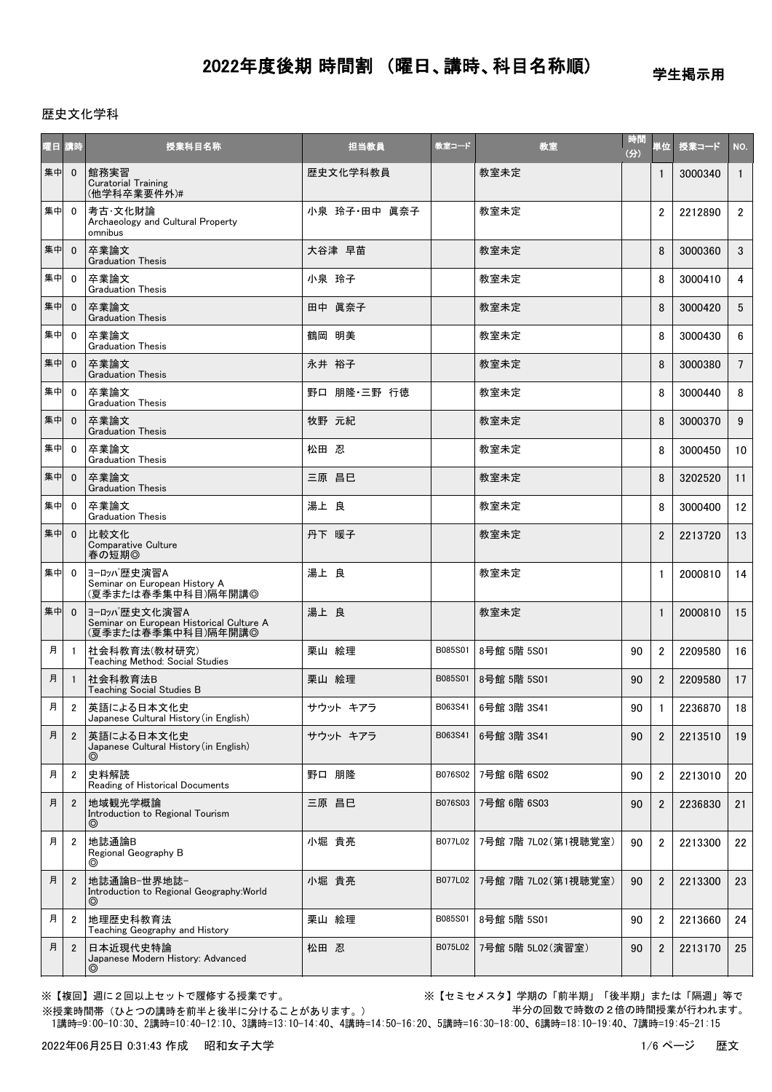学生掲示用

### 歴史文化学科

| 曜日 講時 |                         | 授業科目名称                                                                           | 担当教員         | 教室コード   | 教室                   | 時間<br>(分) | 単位             | 授業コード   | NO.             |
|-------|-------------------------|----------------------------------------------------------------------------------|--------------|---------|----------------------|-----------|----------------|---------|-----------------|
| 集中    | $\mathbf{0}$            | 館務実習<br><b>Curatorial Training</b><br>(他学科卒業要件外)#                                | 歴史文化学科教員     |         | 教室未定                 |           | $\mathbf{1}$   | 3000340 | $\mathbf{1}$    |
| 集中    | $\mathbf{0}$            | 考古·文化財論<br>Archaeology and Cultural Property<br>omnibus                          | 小泉 玲子·田中 眞奈子 |         | 教室未定                 |           | $\overline{2}$ | 2212890 | $2^{\circ}$     |
| 集中    | $\mathbf{0}$            | 卒業論文<br><b>Graduation Thesis</b>                                                 | 大谷津 早苗       |         | 教室未定                 |           | 8              | 3000360 | 3 <sup>1</sup>  |
| 集中    | 0                       | 卒業論文<br><b>Graduation Thesis</b>                                                 | 小泉 玲子        |         | 教室未定                 |           | 8              | 3000410 | 4               |
| 集中    | $\mathbf{0}$            | 卒業論文<br><b>Graduation Thesis</b>                                                 | 田中 眞奈子       |         | 教室未定                 |           | 8              | 3000420 | 5               |
| 集中    | $\mathbf{0}$            | 卒業論文<br><b>Graduation Thesis</b>                                                 | 鶴岡 明美        |         | 教室未定                 |           | 8              | 3000430 | 6               |
| 集中    | $\mathbf{0}$            | 卒業論文<br><b>Graduation Thesis</b>                                                 | 永井 裕子        |         | 教室未定                 |           | 8              | 3000380 | $7^{\circ}$     |
| 集中    | $\mathbf{0}$            | 卒業論文<br><b>Graduation Thesis</b>                                                 | 野口 朋隆·三野 行徳  |         | 教室未定                 |           | 8              | 3000440 | 8               |
| 集中    | $\mathbf{0}$            | 卒業論文<br><b>Graduation Thesis</b>                                                 | 牧野 元紀        |         | 教室未定                 |           | 8              | 3000370 | 9               |
| 集中    | $\mathbf{0}$            | 卒業論文<br><b>Graduation Thesis</b>                                                 | 松田 忍         |         | 教室未定                 |           | 8              | 3000450 | 10              |
| 集中    | $\mathbf{0}$            | 卒業論文<br><b>Graduation Thesis</b>                                                 | 三原 昌巳        |         | 教室未定                 |           | 8              | 3202520 | 11              |
| 集中    | $\mathbf{0}$            | 卒業論文<br><b>Graduation Thesis</b>                                                 | 湯上 良         |         | 教室未定                 |           | 8              | 3000400 | 12 <sup>2</sup> |
| 集中    | $\mathbf{0}$            | 比較文化<br>Comparative Culture<br>春の短期◎                                             | 丹下 暖子        |         | 教室未定                 |           | $\overline{2}$ | 2213720 | 13              |
| 集中    | $\mathbf 0$             | ヨーロッパ歴史演習A<br>Seminar on European History A<br>(夏季または春季集中科目)隔年開講◎                | 湯上 良         |         | 教室未定                 |           | $\mathbf{1}$   | 2000810 | 14              |
| 集中    | $\mathbf{0}$            | ヨーロッパ歴史文化演習A<br>- Seminar on European Historical Culture A<br>(夏季または春季集中科目)隔年開講◎ | 湯上 良         |         | 教室未定                 |           | $\mathbf{1}$   | 2000810 | 15              |
| 月     | $\mathbf{1}$            | 社会科教育法(教材研究)<br>Teaching Method: Social Studies                                  | 栗山 絵理        | B085S01 | 8号館 5階 5S01          | 90        | $\overline{2}$ | 2209580 | 16              |
| 月     | $\mathbf{1}$            | 社会科教育法B<br><b>Teaching Social Studies B</b>                                      | 栗山 絵理        | B085S01 | 8号館 5階 5S01          | 90        | $\overline{2}$ | 2209580 | 17              |
| 月     | $\overline{\mathbf{c}}$ | 英語による日本文化史<br>Japanese Cultural History (in English)                             | サウット キアラ     |         | B063S41 6号館 3階 3S41  | 90        | $\mathbf{1}$   | 2236870 | 18              |
| 月     | $\overline{2}$          | 英語による日本文化史<br>Japanese Cultural History (in English)<br>⊚                        | サウット キアラ     | B063S41 | 6号館 3階 3S41          | 90        | $\overline{2}$ | 2213510 | 19              |
| 月     | $\overline{2}$          | 史料解読<br>Reading of Historical Documents                                          | 野口 朋隆        | B076S02 | 7号館 6階 6S02          | 90        | $\overline{2}$ | 2213010 | 20              |
| 月     | $\mathbf{2}$            | 地域観光学概論<br>Introduction to Regional Tourism<br>$\circledcirc$                    | 三原 昌巳        | B076S03 | 7号館 6階 6S03          | 90        | $\overline{2}$ | 2236830 | 21              |
| 月     | $\overline{2}$          | 地誌通論B<br>Regional Geography B<br>◎                                               | 小堀 貴亮        | B077L02 | 7号館 7階 7L02 (第1視聴覚室) | 90        | $\overline{2}$ | 2213300 | 22              |
| 月     | $\overline{2}$          | 地誌通論B-世界地誌-<br>Introduction to Regional Geography: World<br>◎                    | 小堀 貴亮        | B077L02 | 7号館 7階 7L02 (第1視聴覚室) | 90        | $\overline{2}$ | 2213300 | 23              |
| 月     | $\overline{2}$          | 地理歴史科教育法<br>Teaching Geography and History                                       | 栗山 絵理        | B085S01 | 8号館 5階 5S01          | 90        | $\overline{2}$ | 2213660 | 24              |
| 月     | $\overline{2}$          | 日本近現代史特論<br>Japanese Modern History: Advanced<br>◎                               | 松田 忍         | B075L02 | 7号館 5階 5L02(演習室)     | 90        | $\overline{2}$ | 2213170 | 25              |

※【複回】週に2回以上セットで履修する授業です。 ※【セミセメスタ】学期の「前半期」「後半期」または「隔週」等で 半分の回数で時数の2倍の時間授業が行われます。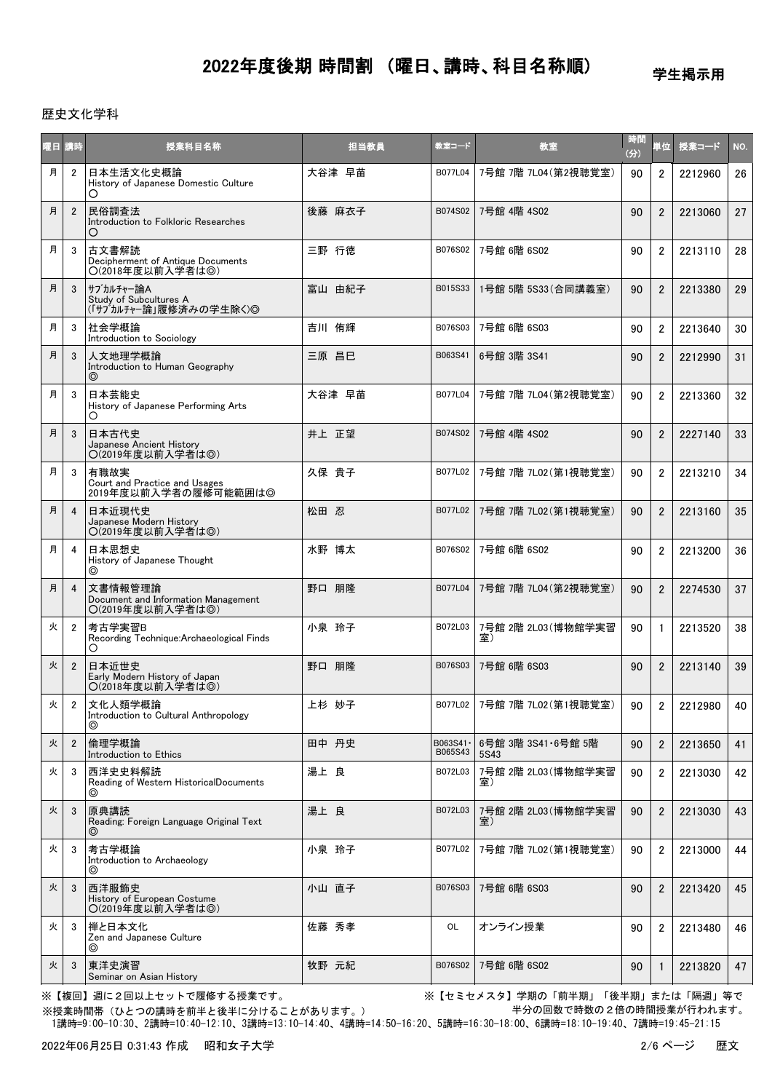学生掲示用

#### 歴史文化学科

| 曜日 講時 |                | 授業科目名称                                                              | 担当教員   | 教室コード                | 教室                         | 時間<br>(分) | 単位             | 授業コード   | NO. |
|-------|----------------|---------------------------------------------------------------------|--------|----------------------|----------------------------|-----------|----------------|---------|-----|
| 月     | $\overline{2}$ | 日本生活文化史概論<br>History of Japanese Domestic Culture<br>O              | 大谷津 早苗 | B077L04              | 7号館 7階 7L04 (第2視聴覚室)       | 90        | $\overline{2}$ | 2212960 | 26  |
| 月     | $\overline{2}$ | 民俗調査法<br>Introduction to Folkloric Researches<br>O                  | 後藤 麻衣子 | B074S02              | 7号館 4階 4S02                | 90        | $\overline{2}$ | 2213060 | 27  |
| 月     | 3              | 古文書解読<br>Decipherment of Antique Documents<br>O(2018年度以前入学者は◎)      | 三野 行徳  | B076S02              | 7号館 6階 6S02                | 90        | $\overline{2}$ | 2213110 | 28  |
| 月     | 3              | サブカルチャー論A<br>Study of Subcultures A<br>(「サブカルチャー論」履修済みの学生除く)◎       | 富山 由紀子 | B015S33              | 1号館 5階 5S33(合同講義室)         | 90        | $\overline{2}$ | 2213380 | 29  |
| 月     | 3              | 社会学概論<br>Introduction to Sociology                                  | 吉川 侑輝  | B076S03              | 7号館 6階 6S03                | 90        | $\overline{2}$ | 2213640 | 30  |
| 月     | 3              | 人文地理学概論<br>Introduction to Human Geography<br>◎                     | 三原 昌巳  | B063S41              | 6号館 3階 3S41                | 90        | $\overline{2}$ | 2212990 | 31  |
| 月     | 3              | 日本芸能史<br>History of Japanese Performing Arts<br>O                   | 大谷津 早苗 | B077L04              | 7号館 7階 7L04(第2視聴覚室)        | 90        | $\overline{2}$ | 2213360 | 32  |
| 月     | 3              | 日本古代史<br>Japanese Ancient History<br>○(2019年度以前入学者は◎)               | 井上 正望  | B074S02              | 7号館 4階 4S02                | 90        | $\overline{2}$ | 2227140 | 33  |
| 月     | 3              | 有職故実<br>Court and Practice and Usages<br>2019年度以前入学者の履修可能範囲は◎       | 久保 貴子  | B077L02              | 7号館 7階 7L02 (第1視聴覚室)       | 90        | $\overline{2}$ | 2213210 | 34  |
| 月     | $\overline{4}$ | 日本近現代史<br>Japanese Modern History<br>O(2019年度以前入学者は◎)               | 松田 忍   | B077L02              | 7号館 7階 7L02(第1視聴覚室)        | 90        | $\overline{2}$ | 2213160 | 35  |
| 月     | $\overline{4}$ | 日本思想史<br>History of Japanese Thought<br>⊚                           | 水野 博太  | B076S02              | 7号館 6階 6S02                | 90        | $\overline{c}$ | 2213200 | 36  |
| 月     | $\overline{4}$ | 文書情報管理論<br>Document and Information Management<br>○(2019年度以前入学者は◎)  | 野口 朋隆  | B077L04              | 7号館 7階 7L04(第2視聴覚室)        | 90        | $\overline{2}$ | 2274530 | 37  |
| 火     | $\overline{2}$ | 考古学実習B<br>Recording Technique:Archaeological Finds<br>O             | 小泉 玲子  | B072L03              | 7号館 2階 2L03 (博物館学実習<br>室)  | 90        | $\mathbf{1}$   | 2213520 | 38  |
| 火     | $\overline{2}$ | 日本近世史<br>Early Modern History of Japan<br>○(2018年度以前入学者は◎)          | 野口 朋隆  | B076S03              | 7号館 6階 6S03                | 90        | $\overline{2}$ | 2213140 | 39  |
| 火     | $\overline{2}$ | 文化人類学概論<br>Introduction to Cultural Anthropology<br>⊚               | 上杉 妙子  | B077L02              | 7号館 7階 7L02(第1視聴覚室)        | 90        | 2              | 2212980 | 40  |
| 火     | $\overline{2}$ | 倫理学概論<br>Introduction to Ethics                                     | 田中 丹史  | B063S41 ·<br>B065S43 | 6号館 3階 3S41 6号館 5階<br>5S43 | 90        | $\overline{2}$ | 2213650 | 41  |
| 火     | 3              | 西洋史史料解読<br>Reading of Western HistoricalDocuments<br>$\circledcirc$ | 湯上 良   | B072L03              | 7号館 2階 2L03(博物館学実習<br>室)   | 90        | $\overline{2}$ | 2213030 | 42  |
| 火     | 3              | 原典講読<br>Reading: Foreign Language Original Text                     | 湯上 良   | B072L03              | 7号館 2階 2L03(博物館学実習<br>室)   | 90        | $\overline{2}$ | 2213030 | 43  |
| 火     | 3              | 考古学概論<br>Introduction to Archaeology<br>⊚                           | 小泉 玲子  | B077L02              | 7号館 7階 7L02(第1視聴覚室)        | 90        | $\overline{2}$ | 2213000 | 44  |
| 火     | 3              | 西洋服飾史<br>History of European Costume<br>○(2019年度以前入学者は◎)            | 小山 直子  | B076S03              | 7号館 6階 6S03                | 90        | $\overline{2}$ | 2213420 | 45  |
| 火     | 3              | 禅と日本文化<br>Zen and Japanese Culture<br>⊚                             | 佐藤 秀孝  | OL                   | オンライン授業                    | 90        | $\overline{2}$ | 2213480 | 46  |
| 火     | 3              | 東洋史演習<br>Seminar on Asian History                                   | 牧野 元紀  | B076S02              | 7号館 6階 6S02                | 90        | 1              | 2213820 | 47  |

※【複回】週に2回以上セットで履修する授業です。 ※【セミセメスタ】学期の「前半期」「後半期」または「隔週」等で 半分の回数で時数の2倍の時間授業が行われます。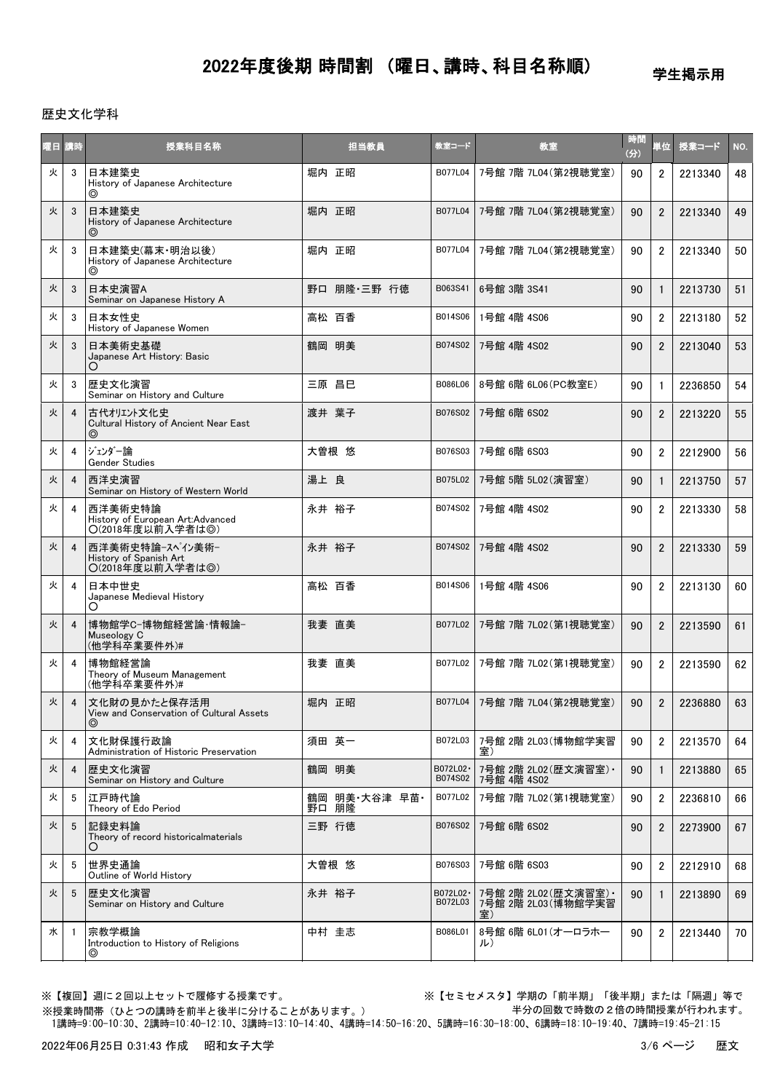学生掲示用

#### 歴史文化学科

| 曜日 講時 |    | 授業科目名称                                                                     | 担当教員                         | 教室コード                | 教室                                                | 時間<br>(3) | 単位             | 授業コード   | NO. |
|-------|----|----------------------------------------------------------------------------|------------------------------|----------------------|---------------------------------------------------|-----------|----------------|---------|-----|
| 火     | 3  | 日本建築史<br>History of Japanese Architecture<br>⊚                             | 堀内 正昭                        | B077L04              | 7号館 7階 7L04(第2視聴覚室)                               | 90        | $\overline{2}$ | 2213340 | 48  |
| 火     | 3  | 日本建築史<br>History of Japanese Architecture<br>⊚                             | 堀内 正昭                        | B077L04              | 7号館 7階 7L04 (第2視聴覚室)                              | 90        | $\overline{2}$ | 2213340 | 49  |
| 火     | 3  | 日本建築史(幕末·明治以後)<br>History of Japanese Architecture<br>⊚                    | 堀内 正昭                        | B077L04              | 7号館 7階 7L04(第2視聴覚室)                               | 90        | $\overline{2}$ | 2213340 | 50  |
| 火     | 3  | 日本史演習A<br>Seminar on Japanese History A                                    | 野口 朋隆・三野 行徳                  | B063S41              | 6号館 3階 3S41                                       | 90        | $\mathbf{1}$   | 2213730 | 51  |
| 火     | 3  | 日本女性史<br>History of Japanese Women                                         | 高松 百香                        | B014S06              | 1号館 4階 4S06                                       | 90        | $\overline{2}$ | 2213180 | 52  |
| 火     | 3  | 日本美術史基礎<br>Japanese Art History: Basic                                     | 鶴岡 明美                        | B074S02              | 7号館 4階 4S02                                       | 90        | $\overline{2}$ | 2213040 | 53  |
| 火     | 3  | 歴史文化演習<br>Seminar on History and Culture                                   | 三原 昌巳                        | B086L06              | 8号館 6階 6L06 (PC教室E)                               | 90        | $\mathbf{1}$   | 2236850 | 54  |
| 火     | 4  | 古代オリエント文化史<br>Cultural History of Ancient Near East<br>⊚                   | 渡井 葉子                        | B076S02              | 7号館 6階 6S02                                       | 90        | $\overline{2}$ | 2213220 | 55  |
| 火     | 4  | ジェンダー論<br>Gender Studies                                                   | 大曽根 悠                        | B076S03              | 7号館 6階 6S03                                       | 90        | $\overline{2}$ | 2212900 | 56  |
| 火     | 4  | 西洋史演習<br>Seminar on History of Western World                               | 湯上 良                         | B075L02              | 7号館 5階 5L02 (演習室)                                 | 90        | $\mathbf{1}$   | 2213750 | 57  |
| 火     | 4  | 西洋美術史特論<br>History of European Art:Advanced<br>O(2018年度以前入学者は◎)            | 永井 裕子                        | B074S02              | 7号館 4階 4S02                                       | 90        | $\overline{2}$ | 2213330 | 58  |
| 火     | 4  | 西洋美術史特論ースペイン美術ー<br>History of Spanish Art<br>O(2018年度以前入学者は◎)              | 永井 裕子                        | B074S02              | 7号館 4階 4S02                                       | 90        | $\overline{2}$ | 2213330 | 59  |
| 火     | 4  | 日本中世史<br>Japanese Medieval History<br>O                                    | 高松 百香                        | B014S06              | 1号館 4階 4S06                                       | 90        | $\overline{2}$ | 2213130 | 60  |
| 火     | 4  | 博物館学C-博物館経営論·情報論-<br>Museology C<br>(他学科卒業要件外)#                            | 我妻 直美                        | B077L02              | 7号館 7階 7L02 (第1視聴覚室)                              | 90        | $\overline{2}$ | 2213590 | 61  |
| 火     | 4  | 博物館経営論<br>Theory of Museum Management<br>(他学科卒業要件外)#                       | 我妻 直美                        | B077L02              | 7号館 7階 7L02 (第1視聴覚室)                              | 90        | $\overline{2}$ | 2213590 | 62  |
| 火     | 4  | 文化財の見かたと保存活用<br>View and Conservation of Cultural Assets<br>$\circledcirc$ | 堀内 正昭                        | B077L04              | 7号館 7階 7L04(第2視聴覚室)                               | 90        | $\overline{2}$ | 2236880 | 63  |
| 火     | 4  | 文化財保護行政論<br>Administration of Historic Preservation                        | 須田 英一                        | B072L03              | 7号館 2階 2L03 (博物館学実習<br>室)                         | 90        | $\overline{2}$ | 2213570 | 64  |
| 火     | 4  | 歴史文化演習<br>Seminar on History and Culture                                   | 鶴岡 明美                        | B072L02 ·<br>B074S02 | 7号館 2階 2L02(歴文演習室) ·<br>7号館 4階 4S02               | 90        | $\mathbf{1}$   | 2213880 | 65  |
| 火     | 5  | 江戸時代論<br>Theory of Edo Period                                              | 鶴岡 明美<br>野口 朋隆<br>明美·大谷津 早苗· | B077L02              | 7号館 7階 7L02 (第1視聴覚室)                              | 90        | $\overline{2}$ | 2236810 | 66  |
| 火     | 5  | 記録史料論<br>Theory of record historicalmaterials<br>O                         | 三野 行徳                        | B076S02              | 7号館 6階 6S02                                       | 90        | $\overline{2}$ | 2273900 | 67  |
| 火     | 5  | 世界史通論<br>Outline of World History                                          | 大曽根 悠                        | B076S03              | 7号館 6階 6S03                                       | 90        | $\overline{2}$ | 2212910 | 68  |
| 火     | 5  | 歴史文化演習<br>Seminar on History and Culture                                   | 永井 裕子                        | B072L02·<br>B072L03  | 7号館 2階 2L02(歴文演習室) •<br>7号館 2階 2L03 (博物館学実習<br>室) | 90        | $\mathbf{1}$   | 2213890 | 69  |
| 水     | -1 | 宗教学概論<br>Introduction to History of Religions<br>◎                         | 中村 圭志                        | B086L01              | 8号館 6階 6L01 (オーロラホー<br>ル)                         | 90        | $\overline{2}$ | 2213440 | 70  |

※【複回】週に2回以上セットで履修する授業です。 ※【セミセメスタ】学期の「前半期」「後半期」または「隔週」等で 半分の回数で時数の2倍の時間授業が行われます。

 1講時=9:00-10:30、2講時=10:40-12:10、3講時=13:10-14:40、4講時=14:50-16:20、5講時=16:30-18:00、6講時=18:10-19:40、7講時=19:45-21:15 ※授業時間帯(ひとつの講時を前半と後半に分けることがあります。)

2022年06月25日 0:31:43 作成 昭和女子大学 3/6 ページ 歴文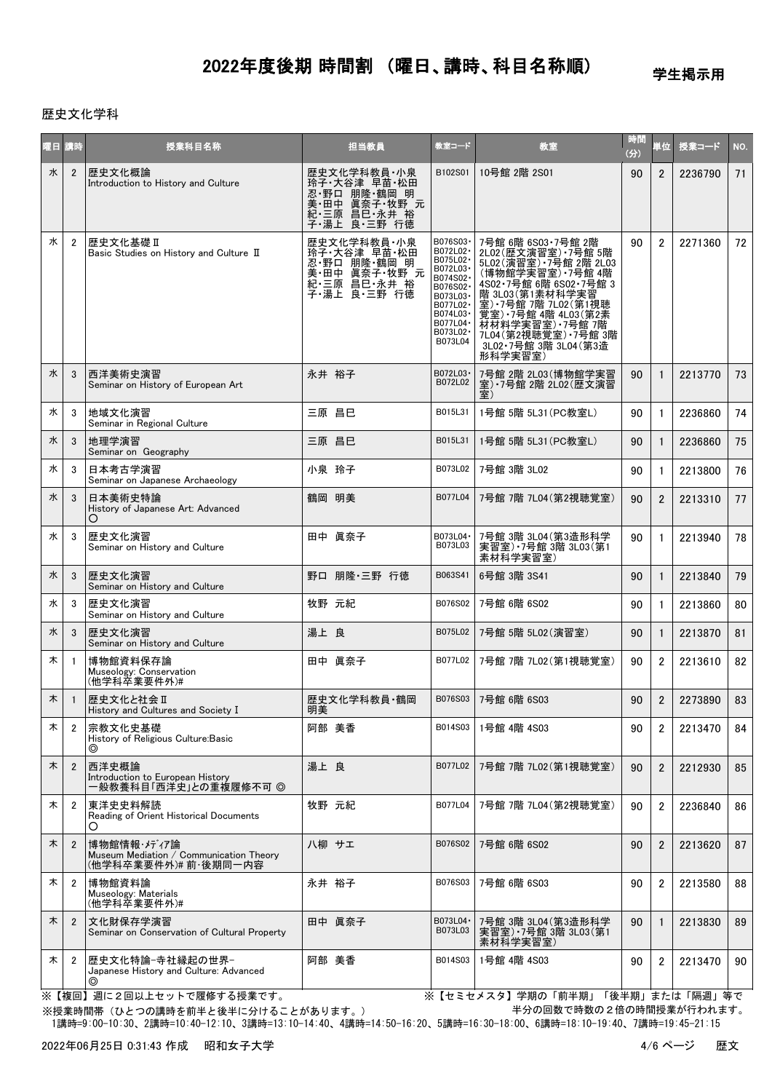学生掲示用

### 歴史文化学科

| 曜日 講時 |                | 授業科目名称                                                                         | 担当教員                                                                                           | 教室コード                                                                                                                                         | 教室                                                                                                                                                                                                                                                             | 時間<br>(分) | 単位             | 授業コード   | NO. |
|-------|----------------|--------------------------------------------------------------------------------|------------------------------------------------------------------------------------------------|-----------------------------------------------------------------------------------------------------------------------------------------------|----------------------------------------------------------------------------------------------------------------------------------------------------------------------------------------------------------------------------------------------------------------|-----------|----------------|---------|-----|
| 水     | $\overline{2}$ | 歴史文化概論<br>Introduction to History and Culture                                  | 歴史文化学科教員・小泉<br>玲子·大谷津 早苗·松田<br>忍野口 朋隆 鶴岡 明<br>美 田中 眞奈子 牧野 元<br>紀 三原 昌巳 永井 裕<br>子·湯上<br>良 三野 行徳 | B102S01                                                                                                                                       | 10号館 2階 2S01                                                                                                                                                                                                                                                   | 90        | $\overline{2}$ | 2236790 | 71  |
| 水     | $\overline{2}$ | 歴史文化基礎 II<br>Basic Studies on History and Culture II                           | 歴史文化学科教員・小泉<br>玲子 大谷津 早苗 松田<br>忍 野口 朋隆 鶴岡 明<br>美 田中 眞奈子 牧野<br>く、ニー原 昌巳・永井 裕<br>子・湯上 良・三野 行徳    | B076S03-<br>B072L02·<br>B075L02 ·<br>B072L03-<br>B074S02·<br>B076S02-<br>B073L03-<br>B077L02·<br>B074L03·<br>B077L04 ·<br>B073L02·<br>B073L04 | 7号館 6階 6S03·7号館 2階<br>2L02(歴文演習室) 7号館 5階<br>5L02(演習室) 7号館 2階 2L03<br>(博物館学実習室) 7号館 4階<br>4S02 7号館 6階 6S02 7号館 3<br>階 3L03 第1素材科学実習<br>室) 7号館 7階 7L02 (第1視聴<br>– 覚室)7号館 4階 4L03(第2素<br>材材料学実習室)7号館 7階<br>7L04(第2視聴覚室) 7号館 3階<br>3L02 7号館 3階 3L04(第3造<br>形科学実習室) | 90        | $\overline{2}$ | 2271360 | 72  |
| 水     | 3              | 西洋美術史演習<br>Seminar on History of European Art                                  | 永井 裕子                                                                                          | B072L03-<br>B072L02                                                                                                                           | 7号館 2階 2L03 (博物館学実習<br>室) 7号館 2階 2L02 (歴文演習                                                                                                                                                                                                                    | 90        | $\mathbf{1}$   | 2213770 | 73  |
| 水     | 3              | 地域文化演習<br>Seminar in Regional Culture                                          | 三原 昌巳                                                                                          | B015L31                                                                                                                                       | 1号館 5階 5L31 (PC教室L)                                                                                                                                                                                                                                            | 90        | $\mathbf{1}$   | 2236860 | 74  |
| 水     | 3              | 地理学演習<br>Seminar on Geography                                                  | 三原 昌巳                                                                                          | B015L31                                                                                                                                       | 1号館 5階 5L31 (PC教室L)                                                                                                                                                                                                                                            | 90        | $\mathbf{1}$   | 2236860 | 75  |
| 水     | 3              | 日本考古学演習<br>Seminar on Japanese Archaeology                                     | 小泉 玲子                                                                                          | B073L02                                                                                                                                       | 7号館 3階 3L02                                                                                                                                                                                                                                                    | 90        | $\mathbf{1}$   | 2213800 | 76  |
| 水     | 3              | 日本美術史特論<br>History of Japanese Art: Advanced<br>O                              | 鶴岡 明美                                                                                          | B077L04                                                                                                                                       | 7号館 7階 7L04(第2視聴覚室)                                                                                                                                                                                                                                            | 90        | $\overline{2}$ | 2213310 | 77  |
| 水     | 3              | 歴史文化演習<br>Seminar on History and Culture                                       | 田中 眞奈子                                                                                         | B073L04 ·<br>B073L03                                                                                                                          | 7号館 3階 3L04 (第3造形科学<br>実習室) 7号館 3階 3L03(第1<br>素材科学実習室)                                                                                                                                                                                                         | 90        | $\mathbf{1}$   | 2213940 | 78  |
| 水     | 3              | 歴史文化演習<br>Seminar on History and Culture                                       | 野口 朋隆·三野 行徳                                                                                    | B063S41                                                                                                                                       | 6号館 3階 3S41                                                                                                                                                                                                                                                    | 90        | $\mathbf{1}$   | 2213840 | 79  |
| 水     | 3              | 歴史文化演習<br>Seminar on History and Culture                                       | 牧野 元紀                                                                                          | B076S02                                                                                                                                       | 7号館 6階 6S02                                                                                                                                                                                                                                                    | 90        | $\mathbf{1}$   | 2213860 | 80  |
| 水     | 3              | 歴史文化演習<br>Seminar on History and Culture                                       | 湯上 良                                                                                           | B075L02                                                                                                                                       | 7号館 5階 5L02(演習室)                                                                                                                                                                                                                                               | 90        | $\mathbf{1}$   | 2213870 | 81  |
| 木     | $\mathbf{1}$   | 博物館資料保存論<br>Museology: Conservation<br>(他学科卒業要件外)#                             | 田中 眞奈子                                                                                         | B077L02                                                                                                                                       | 7号館 7階 7L02 (第1視聴覚室)                                                                                                                                                                                                                                           | 90        | $\overline{2}$ | 2213610 | 82  |
| 木     | $\overline{1}$ | 歴史文化と社会 Ⅱ<br>History and Cultures and Society I                                | 歴史文化学科教員·鶴岡<br>明美                                                                              | B076S03                                                                                                                                       | 7号館 6階 6S03                                                                                                                                                                                                                                                    | 90        | $\overline{2}$ | 2273890 | 83  |
| 木     | 2              | 宗教文化史基礎<br>History of Religious Culture: Basic<br>◎                            | 阿部 美香                                                                                          | B014S03                                                                                                                                       | 1号館 4階 4S03                                                                                                                                                                                                                                                    | 90        | 2              | 2213470 | 84  |
| 木     | $\overline{2}$ | 西洋史概論<br>Introduction to European History<br>一般教養科目「西洋史」との重複履修不可 ◎             | 湯上 良                                                                                           | B077L02                                                                                                                                       | 7号館 7階 7L02(第1視聴覚室)                                                                                                                                                                                                                                            | 90        | $\overline{2}$ | 2212930 | 85  |
| 木     | $\overline{2}$ | 東洋史史料解読<br>Reading of Orient Historical Documents<br>O                         | 牧野 元紀                                                                                          | B077L04                                                                                                                                       | 7号館 7階 7L04 (第2視聴覚室)                                                                                                                                                                                                                                           | 90        | $\overline{2}$ | 2236840 | 86  |
| 木     | $\overline{2}$ | 博物館情報・メディア論<br>Museum Mediation / Communication Theory<br>(他学科卒業要件外)# 前·後期同一内容 | 八柳 サエ                                                                                          | B076S02                                                                                                                                       | 7号館 6階 6S02                                                                                                                                                                                                                                                    | 90        | $\overline{2}$ | 2213620 | 87  |
| 木     | $\overline{c}$ | 博物館資料論<br>Museology: Materials<br>(他学科卒業要件外)#                                  | 永井 裕子                                                                                          | B076S03                                                                                                                                       | 7号館 6階 6S03                                                                                                                                                                                                                                                    | 90        | $\overline{2}$ | 2213580 | 88  |
| 木     | $\overline{2}$ | 文化財保存学演習<br>Seminar on Conservation of Cultural Property                       | 田中 眞奈子                                                                                         | B073L04 ·<br>B073L03                                                                                                                          | 7号館 3階 3L04 (第3造形科学<br>実習室)·7号館 3階 3L03(第1<br>素材科学実習室)                                                                                                                                                                                                         | 90        | $\mathbf{1}$   | 2213830 | 89  |
| 木     | $\overline{2}$ | 歴史文化特論-寺社縁起の世界-<br>Japanese History and Culture: Advanced<br>⊚                 | 阿部 美香                                                                                          | B014S03                                                                                                                                       | 1号館 4階 4S03                                                                                                                                                                                                                                                    | 90        | $\overline{2}$ | 2213470 | 90  |

※【複回】週に2回以上セットで履修する授業です。 インディング インディング (セミセメスタ) 学期の「前半期」「後半期」または「隔週」等で 半分の回数で時数の2倍の時間授業が行われます。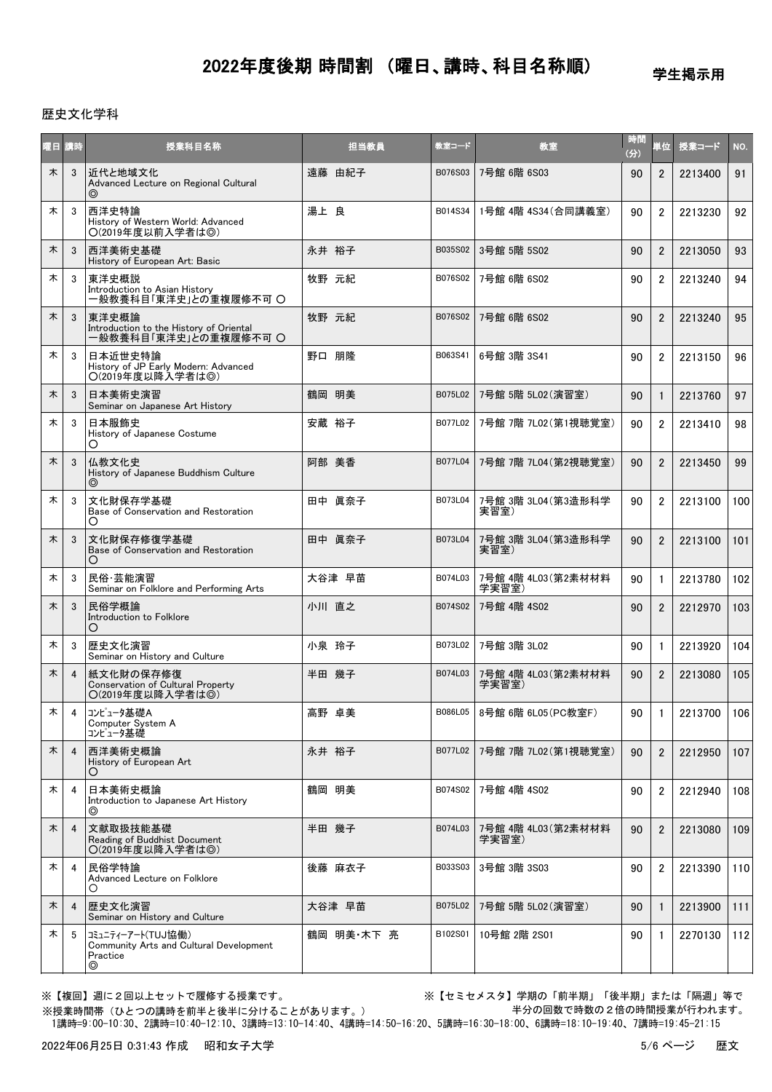学生掲示用

### 歴史文化学科

| 曜日 | 請時             | 授業科目名称                                                                        | 担当教員       | 教室コード   | 教室                            | 時間<br>(3) | 単位             | 授業コード   | NO. |
|----|----------------|-------------------------------------------------------------------------------|------------|---------|-------------------------------|-----------|----------------|---------|-----|
| 木  | 3              | 近代と地域文化<br>Advanced Lecture on Regional Cultural                              | 遠藤 由紀子     | B076S03 | 7号館 6階 6S03                   | 90        | $\overline{2}$ | 2213400 | 91  |
| 木  | 3              | 西洋史特論<br>History of Western World: Advanced<br>O(2019年度以前入学者は◎)               | 湯上 良       | B014S34 | 1号館 4階 4S34 (合同講義室)           | 90        | $\overline{2}$ | 2213230 | 92  |
| 木  | 3              | 西洋美術史基礎<br>History of European Art: Basic                                     | 永井 裕子      | B035S02 | 3号館 5階 5S02                   | 90        | $\overline{2}$ | 2213050 | 93  |
| 木  | 3              | 東洋史概説<br>Introduction to Asian History<br>一般教養科目「東洋史」との重複履修不可 〇               | 牧野 元紀      | B076S02 | 7号館 6階 6S02                   | 90        | $\overline{2}$ | 2213240 | 94  |
| 木  | 3              | 東洋史概論<br>- Introduction to the History of Oriental<br>一般教養科目「東洋史」との重複履修不可 〇   | 牧野 元紀      | B076S02 | 7号館 6階 6S02                   | 90        | $\overline{2}$ | 2213240 | 95  |
| 木  | 3              | 日本近世史特論<br>History of JP Early Modern: Advanced<br>〇(2019年度以降入学者は◎)           | 野口 朋隆      | B063S41 | 6号館 3階 3S41                   | 90        | $\overline{2}$ | 2213150 | 96  |
| 木  | 3              | 日本美術史演習<br>Seminar on Japanese Art History                                    | 鶴岡 明美      | B075L02 | 7号館 5階 5L02(演習室)              | 90        | $\mathbf{1}$   | 2213760 | 97  |
| 木  | 3              | 日本服飾史<br>History of Japanese Costume<br>Ő                                     | 安蔵 裕子      | B077L02 | 7号館 7階 7L02 (第1視聴覚室)          | 90        | $\overline{2}$ | 2213410 | 98  |
| 木  | 3              | 仏教文化史<br>History of Japanese Buddhism Culture                                 | 阿部 美香      | B077L04 | 7号館 7階 7L04 (第2視聴覚室)          | 90        | $\overline{2}$ | 2213450 | 99  |
| 木  | 3              | 文化財保存学基礎<br>Base of Conservation and Restoration<br>O                         | 田中 眞奈子     | B073L04 | 7号館 3階 3L04 (第3造形科学<br>実習室)   | 90        | $\overline{2}$ | 2213100 | 100 |
| 木  | 3              | 文化財保存修復学基礎<br>Base of Conservation and Restoration                            | 田中 眞奈子     | B073L04 | 7号館 3階 3L04 (第3造形科学<br>実習室)   | 90        | $\overline{2}$ | 2213100 | 101 |
| 木  | 3              | 民俗·芸能演習<br>Seminar on Folklore and Performing Arts                            | 大谷津 早苗     | B074L03 | 7号館 4階 4L03(第2素材材料<br>学実習室)   | 90        | $\mathbf{1}$   | 2213780 | 102 |
| 木  | 3              | 民俗学概論<br>Introduction to Folklore<br>O                                        | 小川 直之      | B074S02 | 7号館 4階 4S02                   | 90        | $\overline{2}$ | 2212970 | 103 |
| 木  | 3              | 歴史文化演習<br>Seminar on History and Culture                                      | 小泉 玲子      | B073L02 | 7号館 3階 3L02                   | 90        | $\mathbf{1}$   | 2213920 | 104 |
| 木  | $\overline{4}$ | 紙文化財の保存修復<br>Conservation of Cultural Property<br>○(2019年度以降入学者は◎)            | 半田 幾子      | B074L03 | 7号館 4階 4L03 (第2素材材料<br>学実習室)  | 90        | $\overline{2}$ | 2213080 | 105 |
| 木  | 4              | コンピュータ基礎A<br>Computer System A<br>コンピュータ基礎                                    | 高野 卓美      |         | B086L05   8号館 6階 6L05 (PC教室F) | 90        | 1              | 2213700 | 106 |
| 木  | $\overline{4}$ | 西洋美術史概論<br>History of European Art<br>O                                       | 永井 裕子      | B077L02 | 7号館 7階 7L02 (第1視聴覚室)          | 90        | $\overline{2}$ | 2212950 | 107 |
| 木  | 4              | 日本美術史概論<br>Introduction to Japanese Art History<br>◎                          | 鶴岡 明美      | B074S02 | 7号館 4階 4S02                   | 90        | $\overline{2}$ | 2212940 | 108 |
| 木  | $\overline{4}$ | 文献取扱技能基礎<br>Reading of Buddhist Document<br>○(2019年度以降入学者は◎)                  | 半田 幾子      | B074L03 | 7号館 4階 4L03(第2素材材料<br>学実習室)   | 90        | $\overline{2}$ | 2213080 | 109 |
| 木  | 4              | 民俗学特論<br>Advanced Lecture on Folklore<br>Ő                                    | 後藤 麻衣子     | B033S03 | 3号館 3階 3S03                   | 90        | $\overline{2}$ | 2213390 | 110 |
| 木  | 4              | 歴史文化演習<br>Seminar on History and Culture                                      | 大谷津 早苗     | B075L02 | 7号館 5階 5L02(演習室)              | 90        | $\mathbf{1}$   | 2213900 | 111 |
| 木  | -5             | コミュニティーアート(TUJ協働)<br>Community Arts and Cultural Development<br>Practice<br>◎ | 鶴岡 明美·木下 亮 | B102S01 | 10号館 2階 2S01                  | 90        | -1             | 2270130 | 112 |

※【複回】週に2回以上セットで履修する授業です。 ※【セミセメスタ】学期の「前半期」「後半期」または「隔週」等で 半分の回数で時数の2倍の時間授業が行われます。